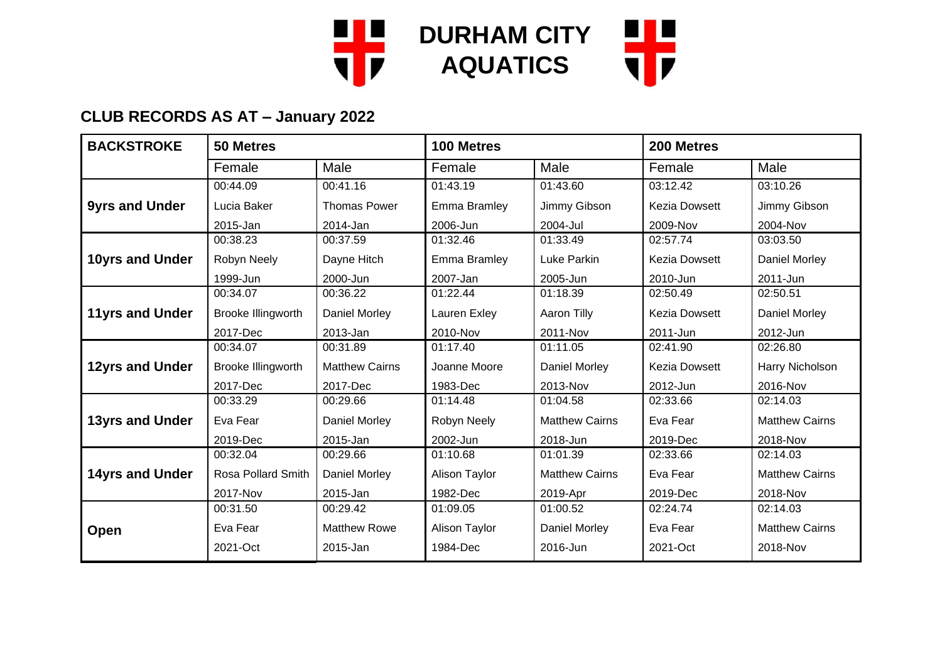

| <b>BACKSTROKE</b>      | 50 Metres          |                       | 100 Metres           |                       | 200 Metres           |                       |
|------------------------|--------------------|-----------------------|----------------------|-----------------------|----------------------|-----------------------|
|                        | Female             | Male                  | Female               | Male                  | Female               | Male                  |
|                        | 00:44.09           | 00:41.16              | 01:43.19             | 01:43.60              | 03:12.42             | 03:10.26              |
| <b>9yrs and Under</b>  | Lucia Baker        | <b>Thomas Power</b>   | Emma Bramley         | Jimmy Gibson          | Kezia Dowsett        | Jimmy Gibson          |
|                        | 2015-Jan           | 2014-Jan              | 2006-Jun             | 2004-Jul              | 2009-Nov             | 2004-Nov              |
|                        | 00:38.23           | 00:37.59              | 01:32.46             | 01:33.49              | 02:57.74             | 03:03.50              |
| 10yrs and Under        | Robyn Neely        | Dayne Hitch           | Emma Bramley         | Luke Parkin           | <b>Kezia Dowsett</b> | Daniel Morley         |
|                        | 1999-Jun           | 2000-Jun              | 2007-Jan             | 2005-Jun              | 2010-Jun             | 2011-Jun              |
|                        | 00:34.07           | 00:36.22              | 01:22.44             | 01:18.39              | 02:50.49             | 02:50.51              |
| <b>11yrs and Under</b> | Brooke Illingworth | <b>Daniel Morley</b>  | Lauren Exley         | Aaron Tilly           | <b>Kezia Dowsett</b> | Daniel Morley         |
|                        | 2017-Dec           | 2013-Jan              | 2010-Nov             | 2011-Nov              | 2011-Jun             | 2012-Jun              |
|                        | 00:34.07           | 00:31.89              | 01:17.40             | 01:11.05              | 02:41.90             | 02:26.80              |
| 12yrs and Under        | Brooke Illingworth | <b>Matthew Cairns</b> | Joanne Moore         | Daniel Morley         | <b>Kezia Dowsett</b> | Harry Nicholson       |
|                        | 2017-Dec           | 2017-Dec              | 1983-Dec             | 2013-Nov              | 2012-Jun             | 2016-Nov              |
|                        | 00:33.29           | 00:29.66              | 01:14.48             | 01:04.58              | 02:33.66             | 02:14.03              |
| <b>13yrs and Under</b> | Eva Fear           | Daniel Morley         | Robyn Neely          | <b>Matthew Cairns</b> | Eva Fear             | <b>Matthew Cairns</b> |
|                        | 2019-Dec           | 2015-Jan              | 2002-Jun             | 2018-Jun              | 2019-Dec             | 2018-Nov              |
|                        | 00:32.04           | 00:29.66              | 01:10.68             | 01:01.39              | 02:33.66             | 02:14.03              |
| <b>14yrs and Under</b> | Rosa Pollard Smith | <b>Daniel Morley</b>  | <b>Alison Taylor</b> | <b>Matthew Cairns</b> | Eva Fear             | <b>Matthew Cairns</b> |
|                        | 2017-Nov           | 2015-Jan              | 1982-Dec             | 2019-Apr              | 2019-Dec             | 2018-Nov              |
|                        | 00:31.50           | 00:29.42              | 01:09.05             | 01:00.52              | 02:24.74             | 02:14.03              |
| <b>Open</b>            | Eva Fear           | <b>Matthew Rowe</b>   | Alison Taylor        | Daniel Morley         | Eva Fear             | <b>Matthew Cairns</b> |
|                        | 2021-Oct           | 2015-Jan              | 1984-Dec             | 2016-Jun              | 2021-Oct             | 2018-Nov              |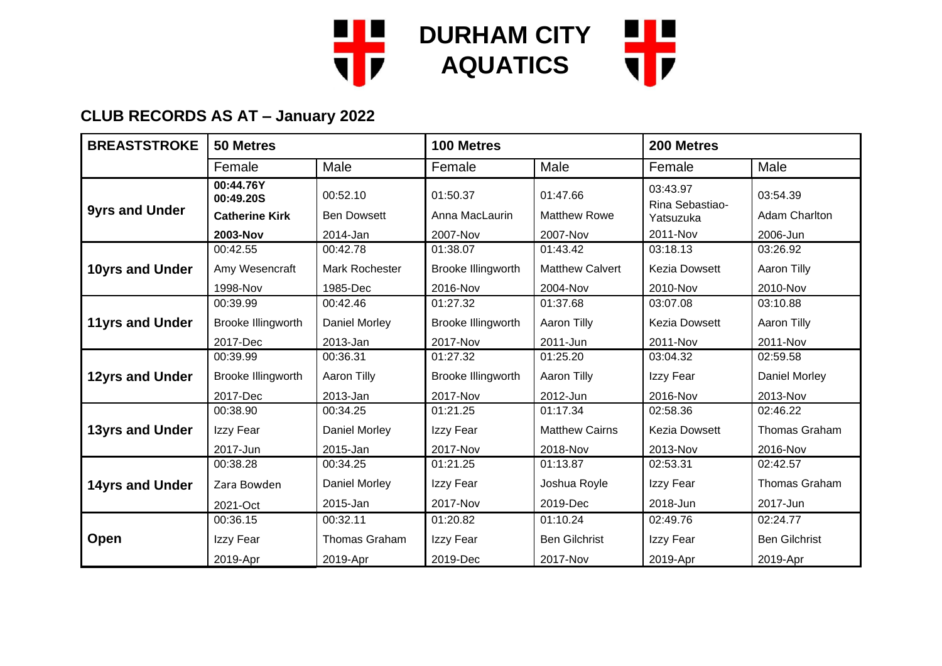

| <b>BREASTSTROKE</b>    | 50 Metres              |                       | 100 Metres         |                        | 200 Metres                  |                      |
|------------------------|------------------------|-----------------------|--------------------|------------------------|-----------------------------|----------------------|
|                        | Female                 | Male                  | Female             | Male                   | Female                      | Male                 |
| <b>9yrs and Under</b>  | 00:44.76Y<br>00:49.20S | 00:52.10              | 01:50.37           | 01:47.66               | 03:43.97<br>Rina Sebastiao- | 03:54.39             |
|                        | <b>Catherine Kirk</b>  | <b>Ben Dowsett</b>    | Anna MacLaurin     | <b>Matthew Rowe</b>    | Yatsuzuka                   | Adam Charlton        |
|                        | 2003-Nov               | 2014-Jan              | 2007-Nov           | 2007-Nov               | 2011-Nov                    | 2006-Jun             |
|                        | 00:42.55               | 00:42.78              | 01:38.07           | 01:43.42               | 03:18.13                    | 03:26.92             |
| 10yrs and Under        | Amy Wesencraft         | <b>Mark Rochester</b> | Brooke Illingworth | <b>Matthew Calvert</b> | <b>Kezia Dowsett</b>        | Aaron Tilly          |
|                        | 1998-Nov               | 1985-Dec              | 2016-Nov           | 2004-Nov               | 2010-Nov                    | 2010-Nov             |
|                        | 00:39.99               | 00:42.46              | 01:27.32           | 01:37.68               | 03:07.08                    | 03:10.88             |
| <b>11yrs and Under</b> | Brooke Illingworth     | Daniel Morley         | Brooke Illingworth | Aaron Tilly            | <b>Kezia Dowsett</b>        | Aaron Tilly          |
|                        | 2017-Dec               | 2013-Jan              | 2017-Nov           | 2011-Jun               | 2011-Nov                    | 2011-Nov             |
|                        | 00:39.99               | 00:36.31              | 01:27.32           | 01:25.20               | 03:04.32                    | 02:59.58             |
| 12yrs and Under        | Brooke Illingworth     | Aaron Tilly           | Brooke Illingworth | Aaron Tilly            | Izzy Fear                   | <b>Daniel Morley</b> |
|                        | 2017-Dec               | 2013-Jan              | 2017-Nov           | 2012-Jun               | 2016-Nov                    | 2013-Nov             |
|                        | 00:38.90               | 00:34.25              | 01:21.25           | 01:17.34               | 02:58.36                    | 02:46.22             |
| <b>13yrs and Under</b> | Izzy Fear              | Daniel Morley         | Izzy Fear          | <b>Matthew Cairns</b>  | <b>Kezia Dowsett</b>        | <b>Thomas Graham</b> |
|                        | 2017-Jun               | 2015-Jan              | 2017-Nov           | 2018-Nov               | 2013-Nov                    | 2016-Nov             |
|                        | 00:38.28               | 00:34.25              | 01:21.25           | 01:13.87               | 02:53.31                    | 02:42.57             |
| <b>14yrs and Under</b> | Zara Bowden            | <b>Daniel Morley</b>  | Izzy Fear          | Joshua Royle           | Izzy Fear                   | Thomas Graham        |
|                        | 2021-Oct               | 2015-Jan              | 2017-Nov           | 2019-Dec               | 2018-Jun                    | 2017-Jun             |
|                        | 00:36.15               | 00:32.11              | 01:20.82           | 01:10.24               | 02:49.76                    | 02:24.77             |
| <b>Open</b>            | Izzy Fear              | Thomas Graham         | Izzy Fear          | <b>Ben Gilchrist</b>   | Izzy Fear                   | <b>Ben Gilchrist</b> |
|                        | 2019-Apr               | 2019-Apr              | 2019-Dec           | 2017-Nov               | 2019-Apr                    | 2019-Apr             |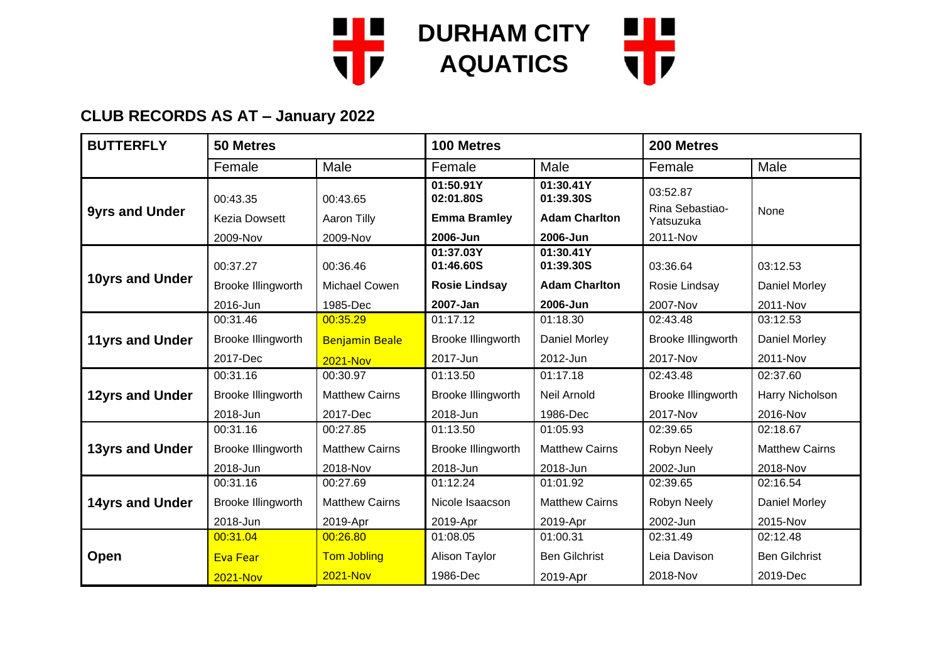

| <b>BUTTERFLY</b>       | <b>50 Metres</b>                             |                                     | 100 Metres                                                |                                                            | 200 Metres                                           |                       |
|------------------------|----------------------------------------------|-------------------------------------|-----------------------------------------------------------|------------------------------------------------------------|------------------------------------------------------|-----------------------|
|                        | Female                                       | Male                                | Female                                                    | Male                                                       | Female                                               | Male                  |
| <b>9yrs and Under</b>  | 00:43.35<br><b>Kezia Dowsett</b><br>2009-Nov | 00:43.65<br>Aaron Tilly<br>2009-Nov | 01:50.91Y<br>02:01.80S<br><b>Emma Bramley</b><br>2006-Jun | 01:30.41Y<br>01:39.30S<br><b>Adam Charlton</b><br>2006-Jun | 03:52.87<br>Rina Sebastiao-<br>Yatsuzuka<br>2011-Nov | None                  |
|                        |                                              |                                     | 01:37.03Y                                                 | 01:30.41Y                                                  |                                                      |                       |
|                        | 00:37.27                                     | 00:36.46                            | 01:46.60S                                                 | 01:39.30S                                                  | 03:36.64                                             | 03:12.53              |
| 10yrs and Under        | Brooke Illingworth                           | Michael Cowen                       | <b>Rosie Lindsay</b>                                      | <b>Adam Charlton</b>                                       | Rosie Lindsay                                        | Daniel Morley         |
|                        | 2016-Jun                                     | 1985-Dec                            | 2007-Jan                                                  | 2006-Jun                                                   | 2007-Nov                                             | 2011-Nov              |
|                        | 00:31.46                                     | 00:35.29                            | 01:17.12                                                  | 01:18.30                                                   | 02:43.48                                             | 03:12.53              |
| <b>11yrs and Under</b> | Brooke Illingworth                           | <b>Benjamin Beale</b>               | Brooke Illingworth                                        | Daniel Morley                                              | Brooke Illingworth                                   | Daniel Morley         |
|                        | 2017-Dec                                     | <b>2021-Nov</b>                     | 2017-Jun                                                  | 2012-Jun                                                   | 2017-Nov                                             | 2011-Nov              |
|                        | 00:31.16                                     | 00:30.97                            | 01:13.50                                                  | 01:17.18                                                   | 02:43.48                                             | 02:37.60              |
| 12yrs and Under        | Brooke Illingworth                           | <b>Matthew Cairns</b>               | Brooke Illingworth                                        | Neil Arnold                                                | Brooke Illingworth                                   | Harry Nicholson       |
|                        | 2018-Jun                                     | 2017-Dec                            | 2018-Jun                                                  | 1986-Dec                                                   | 2017-Nov                                             | 2016-Nov              |
|                        | 00:31.16                                     | 00:27.85                            | 01:13.50                                                  | 01:05.93                                                   | 02:39.65                                             | 02:18.67              |
| <b>13yrs and Under</b> | Brooke Illingworth                           | <b>Matthew Cairns</b>               | Brooke Illingworth                                        | <b>Matthew Cairns</b>                                      | Robyn Neely                                          | <b>Matthew Cairns</b> |
|                        | 2018-Jun                                     | 2018-Nov                            | 2018-Jun                                                  | 2018-Jun                                                   | 2002-Jun                                             | 2018-Nov              |
|                        | 00:31.16                                     | 00:27.69                            | 01:12.24                                                  | 01:01.92                                                   | 02:39.65                                             | 02:16.54              |
| <b>14yrs and Under</b> | Brooke Illingworth                           | <b>Matthew Cairns</b>               | Nicole Isaacson                                           | <b>Matthew Cairns</b>                                      | Robyn Neely                                          | Daniel Morley         |
|                        | 2018-Jun                                     | 2019-Apr                            | 2019-Apr                                                  | 2019-Apr                                                   | 2002-Jun                                             | 2015-Nov              |
|                        | 00:31.04                                     | 00:26.80                            | 01:08.05                                                  | 01:00.31                                                   | 02:31.49                                             | 02:12.48              |
| Open                   | <b>Eva Fear</b>                              | <b>Tom Jobling</b>                  | Alison Taylor                                             | <b>Ben Gilchrist</b>                                       | Leia Davison                                         | <b>Ben Gilchrist</b>  |
|                        | <b>2021-Nov</b>                              | <b>2021-Nov</b>                     | 1986-Dec                                                  | 2019-Apr                                                   | 2018-Nov                                             | 2019-Dec              |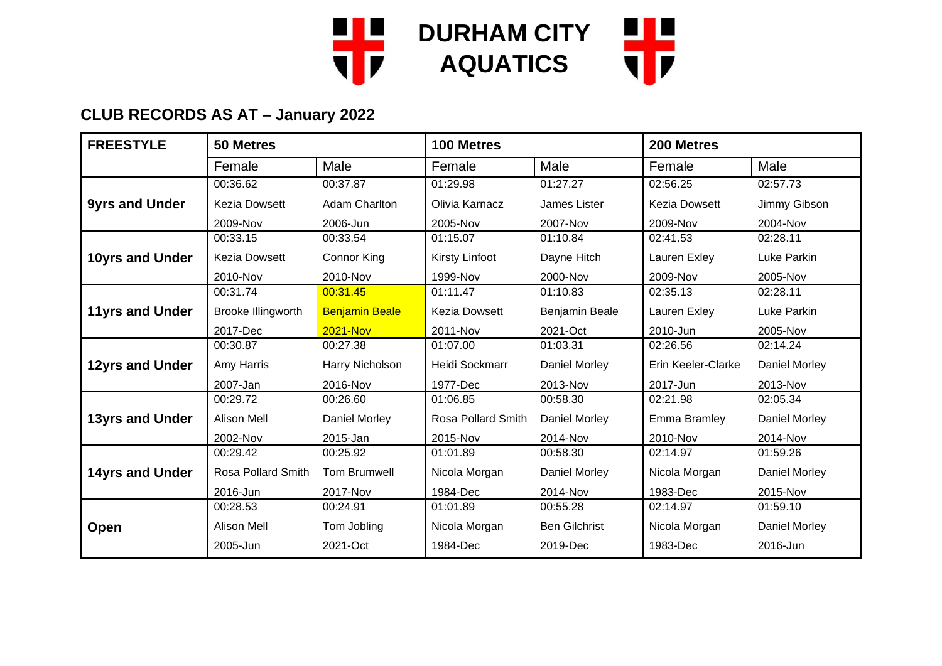

| <b>FREESTYLE</b>       | 50 Metres            |                       | 100 Metres            |                      | 200 Metres           |                      |
|------------------------|----------------------|-----------------------|-----------------------|----------------------|----------------------|----------------------|
|                        | Female               | Male                  | Female                | Male                 | Female               | Male                 |
|                        | 00:36.62             | 00:37.87              | 01:29.98              | 01:27.27             | 02:56.25             | 02:57.73             |
| <b>9yrs and Under</b>  | <b>Kezia Dowsett</b> | <b>Adam Charlton</b>  | Olivia Karnacz        | James Lister         | <b>Kezia Dowsett</b> | Jimmy Gibson         |
|                        | 2009-Nov             | 2006-Jun              | 2005-Nov              | 2007-Nov             | 2009-Nov             | 2004-Nov             |
|                        | 00:33.15             | 00:33.54              | 01:15.07              | 01:10.84             | 02:41.53             | 02:28.11             |
| 10yrs and Under        | <b>Kezia Dowsett</b> | <b>Connor King</b>    | <b>Kirsty Linfoot</b> | Dayne Hitch          | Lauren Exley         | Luke Parkin          |
|                        | 2010-Nov             | 2010-Nov              | 1999-Nov              | 2000-Nov             | 2009-Nov             | 2005-Nov             |
|                        | 00:31.74             | 00:31.45              | 01:11.47              | 01:10.83             | 02:35.13             | 02:28.11             |
| <b>11yrs and Under</b> | Brooke Illingworth   | <b>Benjamin Beale</b> | <b>Kezia Dowsett</b>  | Benjamin Beale       | Lauren Exley         | Luke Parkin          |
|                        | 2017-Dec             | <b>2021-Nov</b>       | 2011-Nov              | 2021-Oct             | 2010-Jun             | 2005-Nov             |
|                        | 00:30.87             | 00:27.38              | 01:07.00              | 01:03.31             | 02:26.56             | 02:14.24             |
| 12yrs and Under        | Amy Harris           | Harry Nicholson       | Heidi Sockmarr        | Daniel Morley        | Erin Keeler-Clarke   | <b>Daniel Morley</b> |
|                        | 2007-Jan             | 2016-Nov              | 1977-Dec              | 2013-Nov             | 2017-Jun             | 2013-Nov             |
|                        | 00:29.72             | 00:26.60              | 01:06.85              | 00:58.30             | 02:21.98             | 02:05.34             |
| 13yrs and Under        | <b>Alison Mell</b>   | Daniel Morley         | Rosa Pollard Smith    | Daniel Morley        | Emma Bramley         | Daniel Morley        |
|                        | 2002-Nov             | 2015-Jan              | 2015-Nov              | 2014-Nov             | 2010-Nov             | 2014-Nov             |
|                        | 00:29.42             | 00:25.92              | 01:01.89              | 00:58.30             | 02:14.97             | 01:59.26             |
| <b>14yrs and Under</b> | Rosa Pollard Smith   | <b>Tom Brumwell</b>   | Nicola Morgan         | Daniel Morley        | Nicola Morgan        | <b>Daniel Morley</b> |
|                        | 2016-Jun             | 2017-Nov              | 1984-Dec              | 2014-Nov             | 1983-Dec             | 2015-Nov             |
|                        | 00:28.53             | 00:24.91              | 01:01.89              | 00:55.28             | 02:14.97             | 01:59.10             |
| <b>Open</b>            | <b>Alison Mell</b>   | Tom Jobling           | Nicola Morgan         | <b>Ben Gilchrist</b> | Nicola Morgan        | <b>Daniel Morley</b> |
|                        | 2005-Jun             | 2021-Oct              | 1984-Dec              | 2019-Dec             | 1983-Dec             | 2016-Jun             |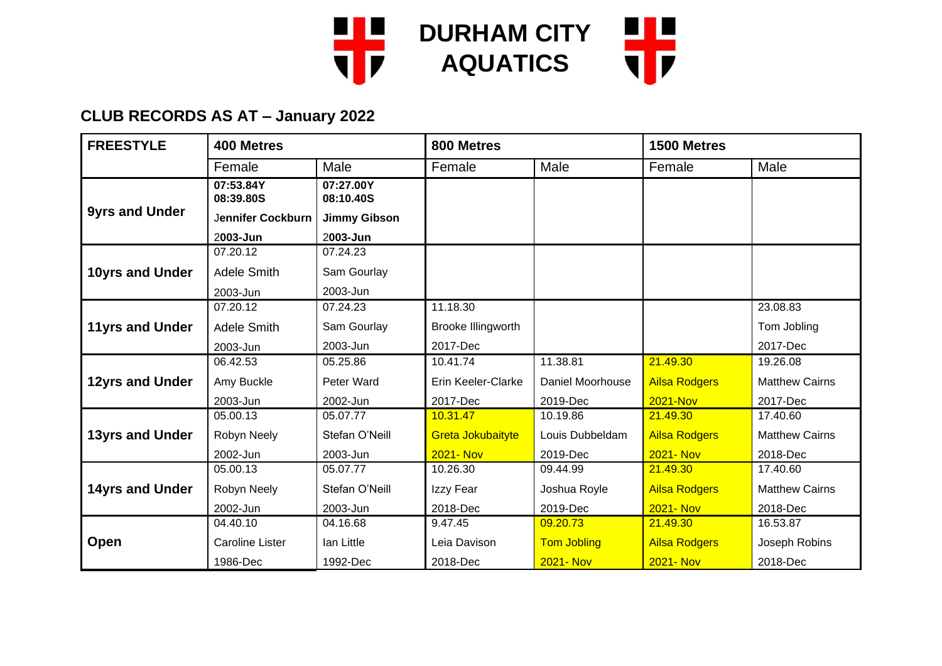

| <b>FREESTYLE</b>       | 400 Metres             |                        | 800 Metres         |                    | 1500 Metres          |                       |
|------------------------|------------------------|------------------------|--------------------|--------------------|----------------------|-----------------------|
|                        | Female                 | Male                   | Female             | Male               | Female               | Male                  |
|                        | 07:53.84Y<br>08:39.80S | 07:27.00Y<br>08:10.40S |                    |                    |                      |                       |
| <b>9yrs and Under</b>  | Jennifer Cockburn      | <b>Jimmy Gibson</b>    |                    |                    |                      |                       |
|                        | 2003-Jun               | 2003-Jun               |                    |                    |                      |                       |
|                        | 07.20.12               | 07.24.23               |                    |                    |                      |                       |
| 10yrs and Under        | <b>Adele Smith</b>     | Sam Gourlay            |                    |                    |                      |                       |
|                        | 2003-Jun               | 2003-Jun               |                    |                    |                      |                       |
|                        | 07.20.12               | 07.24.23               | 11.18.30           |                    |                      | 23.08.83              |
| <b>11yrs and Under</b> | <b>Adele Smith</b>     | Sam Gourlay            | Brooke Illingworth |                    |                      | Tom Jobling           |
|                        | 2003-Jun               | 2003-Jun               | 2017-Dec           |                    |                      | 2017-Dec              |
|                        | 06.42.53               | 05.25.86               | 10.41.74           | 11.38.81           | 21.49.30             | 19.26.08              |
| 12yrs and Under        | Amy Buckle             | Peter Ward             | Erin Keeler-Clarke | Daniel Moorhouse   | <b>Ailsa Rodgers</b> | <b>Matthew Cairns</b> |
|                        | 2003-Jun               | 2002-Jun               | 2017-Dec           | 2019-Dec           | <b>2021-Nov</b>      | 2017-Dec              |
|                        | 05.00.13               | 05.07.77               | 10.31.47           | 10.19.86           | 21.49.30             | 17.40.60              |
| <b>13yrs and Under</b> | Robyn Neely            | Stefan O'Neill         | Greta Jokubaityte  | Louis Dubbeldam    | <b>Ailsa Rodgers</b> | <b>Matthew Cairns</b> |
|                        | 2002-Jun               | 2003-Jun               | <b>2021-Nov</b>    | 2019-Dec           | <b>2021-Nov</b>      | 2018-Dec              |
|                        | 05.00.13               | 05.07.77               | 10.26.30           | 09.44.99           | 21.49.30             | 17.40.60              |
| <b>14yrs and Under</b> | Robyn Neely            | Stefan O'Neill         | Izzy Fear          | Joshua Royle       | <b>Ailsa Rodgers</b> | <b>Matthew Cairns</b> |
|                        | 2002-Jun               | 2003-Jun               | 2018-Dec           | 2019-Dec           | <b>2021-Nov</b>      | 2018-Dec              |
|                        | 04.40.10               | 04.16.68               | 9.47.45            | 09.20.73           | 21.49.30             | 16.53.87              |
| <b>Open</b>            | <b>Caroline Lister</b> | lan Little             | Leia Davison       | <b>Tom Jobling</b> | <b>Ailsa Rodgers</b> | Joseph Robins         |
|                        | 1986-Dec               | 1992-Dec               | 2018-Dec           | <b>2021-Nov</b>    | <b>2021-Nov</b>      | 2018-Dec              |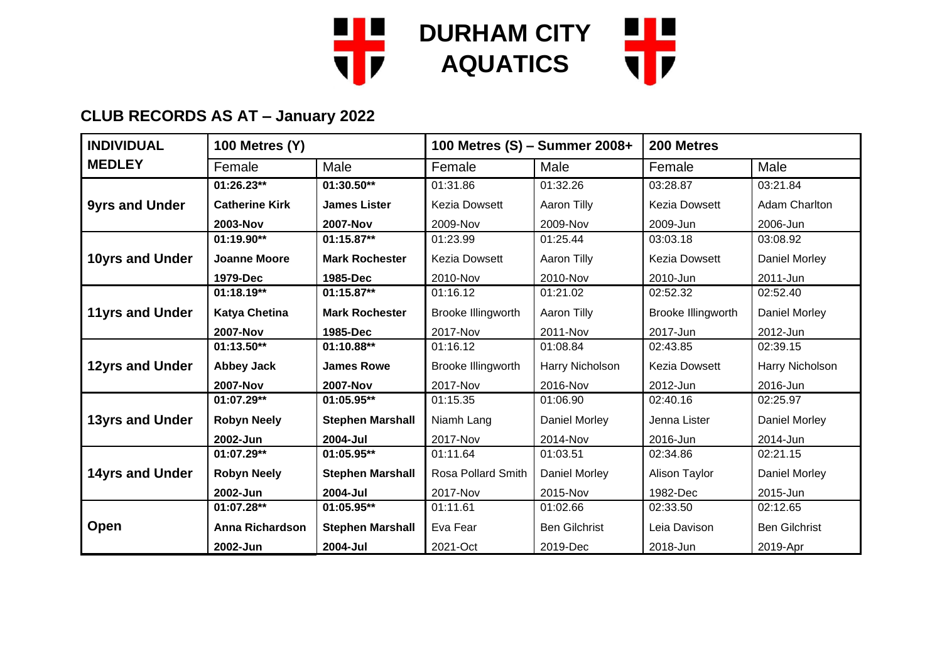

| <b>INDIVIDUAL</b>      | <b>100 Metres (Y)</b>  |                         | 100 Metres (S) - Summer 2008+ |                      | 200 Metres           |                      |
|------------------------|------------------------|-------------------------|-------------------------------|----------------------|----------------------|----------------------|
| <b>MEDLEY</b>          | Female                 | Male                    | Female                        | Male                 | Female               | Male                 |
|                        | 01:26.23**             | 01:30.50**              | 01:31.86                      | 01:32.26             | 03:28.87             | 03:21.84             |
| <b>9yrs and Under</b>  | <b>Catherine Kirk</b>  | <b>James Lister</b>     | <b>Kezia Dowsett</b>          | Aaron Tilly          | <b>Kezia Dowsett</b> | Adam Charlton        |
|                        | 2003-Nov               | <b>2007-Nov</b>         | 2009-Nov                      | 2009-Nov             | 2009-Jun             | 2006-Jun             |
|                        | 01:19.90**             | 01:15.87**              | 01:23.99                      | 01:25.44             | 03:03.18             | 03:08.92             |
| 10yrs and Under        | <b>Joanne Moore</b>    | <b>Mark Rochester</b>   | <b>Kezia Dowsett</b>          | Aaron Tilly          | <b>Kezia Dowsett</b> | Daniel Morley        |
|                        | 1979-Dec               | 1985-Dec                | 2010-Nov                      | 2010-Nov             | 2010-Jun             | 2011-Jun             |
|                        | $01:18.19**$           | $01:15.87**$            | 01:16.12                      | 01:21.02             | 02:52.32             | 02:52.40             |
| <b>11yrs and Under</b> | <b>Katya Chetina</b>   | <b>Mark Rochester</b>   | Brooke Illingworth            | Aaron Tilly          | Brooke Illingworth   | Daniel Morley        |
|                        | <b>2007-Nov</b>        | 1985-Dec                | 2017-Nov                      | 2011-Nov             | 2017-Jun             | 2012-Jun             |
|                        | 01:13.50**             | 01:10.88**              | 01:16.12                      | 01:08.84             | 02:43.85             | 02:39.15             |
| 12yrs and Under        | <b>Abbey Jack</b>      | <b>James Rowe</b>       | Brooke Illingworth            | Harry Nicholson      | <b>Kezia Dowsett</b> | Harry Nicholson      |
|                        | <b>2007-Nov</b>        | <b>2007-Nov</b>         | 2017-Nov                      | 2016-Nov             | 2012-Jun             | 2016-Jun             |
|                        | 01:07.29**             | 01:05.95**              | 01:15.35                      | 01:06.90             | 02:40.16             | 02:25.97             |
| <b>13yrs and Under</b> | <b>Robyn Neely</b>     | <b>Stephen Marshall</b> | Niamh Lang                    | Daniel Morley        | Jenna Lister         | Daniel Morley        |
|                        | 2002-Jun               | 2004-Jul                | 2017-Nov                      | 2014-Nov             | 2016-Jun             | 2014-Jun             |
|                        | 01:07.29**             | 01:05.95**              | 01:11.64                      | 01:03.51             | 02:34.86             | 02:21.15             |
| <b>14yrs and Under</b> | <b>Robyn Neely</b>     | <b>Stephen Marshall</b> | Rosa Pollard Smith            | Daniel Morley        | Alison Taylor        | <b>Daniel Morley</b> |
|                        | 2002-Jun               | 2004-Jul                | 2017-Nov                      | 2015-Nov             | 1982-Dec             | 2015-Jun             |
|                        | 01:07.28**             | $01:05.95**$            | 01:11.61                      | 01:02.66             | 02:33.50             | 02:12.65             |
| <b>Open</b>            | <b>Anna Richardson</b> | <b>Stephen Marshall</b> | Eva Fear                      | <b>Ben Gilchrist</b> | Leia Davison         | <b>Ben Gilchrist</b> |
|                        | 2002-Jun               | 2004-Jul                | 2021-Oct                      | 2019-Dec             | 2018-Jun             | 2019-Apr             |